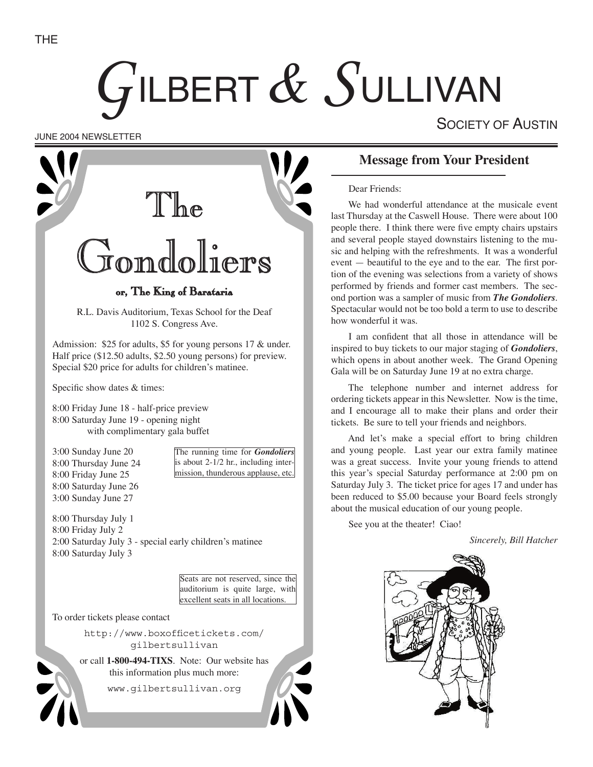# GILBERT & SULLIVAN

SOCIETY OF AUSTIN

JUNE 2004 NEWSLETTER



# **Message from Your President**

Dear Friends:

We had wonderful attendance at the musicale event last Thursday at the Caswell House. There were about 100 people there. I think there were five empty chairs upstairs and several people stayed downstairs listening to the music and helping with the refreshments. It was a wonderful event — beautiful to the eye and to the ear. The first portion of the evening was selections from a variety of shows performed by friends and former cast members. The second portion was a sampler of music from *The Gondoliers*. Spectacular would not be too bold a term to use to describe how wonderful it was.

I am confident that all those in attendance will be inspired to buy tickets to our major staging of *Gondoliers*, which opens in about another week. The Grand Opening Gala will be on Saturday June 19 at no extra charge.

The telephone number and internet address for ordering tickets appear in this Newsletter. Now is the time, and I encourage all to make their plans and order their tickets. Be sure to tell your friends and neighbors.

And let's make a special effort to bring children and young people. Last year our extra family matinee was a great success. Invite your young friends to attend this year's special Saturday performance at 2:00 pm on Saturday July 3. The ticket price for ages 17 and under has been reduced to \$5.00 because your Board feels strongly about the musical education of our young people.

See you at the theater! Ciao!

*Sincerely, Bill Hatcher*

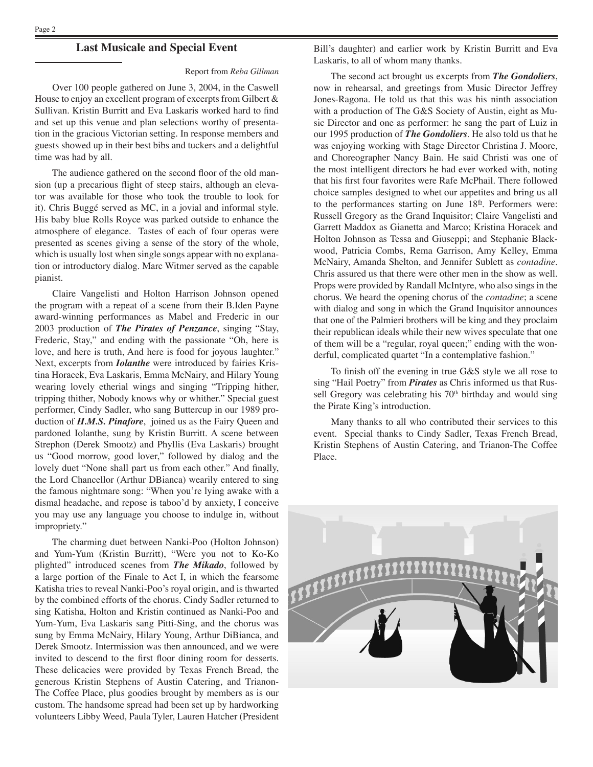#### **Last Musicale and Special Event**

#### Report from *Reba Gillman*

Over 100 people gathered on June 3, 2004, in the Caswell House to enjoy an excellent program of excerpts from Gilbert & Sullivan. Kristin Burritt and Eva Laskaris worked hard to find and set up this venue and plan selections worthy of presentation in the gracious Victorian setting. In response members and guests showed up in their best bibs and tuckers and a delightful time was had by all.

The audience gathered on the second floor of the old mansion (up a precarious flight of steep stairs, although an elevator was available for those who took the trouble to look for it). Chris Buggé served as MC, in a jovial and informal style. His baby blue Rolls Royce was parked outside to enhance the atmosphere of elegance. Tastes of each of four operas were presented as scenes giving a sense of the story of the whole, which is usually lost when single songs appear with no explanation or introductory dialog. Marc Witmer served as the capable pianist.

 Claire Vangelisti and Holton Harrison Johnson opened the program with a repeat of a scene from their B.Iden Payne award-winning performances as Mabel and Frederic in our 2003 production of *The Pirates of Penzance*, singing "Stay, Frederic, Stay," and ending with the passionate "Oh, here is love, and here is truth, And here is food for joyous laughter." Next, excerpts from *Iolanthe* were introduced by fairies Kristina Horacek, Eva Laskaris, Emma McNairy, and Hilary Young wearing lovely etherial wings and singing "Tripping hither, tripping thither, Nobody knows why or whither." Special guest performer, Cindy Sadler, who sang Buttercup in our 1989 production of *H.M.S. Pinafore*, joined us as the Fairy Queen and pardoned Iolanthe, sung by Kristin Burritt. A scene between Strephon (Derek Smootz) and Phyllis (Eva Laskaris) brought us "Good morrow, good lover," followed by dialog and the lovely duet "None shall part us from each other." And finally, the Lord Chancellor (Arthur DBianca) wearily entered to sing the famous nightmare song: "When you're lying awake with a dismal headache, and repose is taboo'd by anxiety, I conceive you may use any language you choose to indulge in, without impropriety."

The charming duet between Nanki-Poo (Holton Johnson) and Yum-Yum (Kristin Burritt), "Were you not to Ko-Ko plighted" introduced scenes from *The Mikado*, followed by a large portion of the Finale to Act I, in which the fearsome Katisha tries to reveal Nanki-Poo's royal origin, and is thwarted by the combined efforts of the chorus. Cindy Sadler returned to sing Katisha, Holton and Kristin continued as Nanki-Poo and Yum-Yum, Eva Laskaris sang Pitti-Sing, and the chorus was sung by Emma McNairy, Hilary Young, Arthur DiBianca, and Derek Smootz. Intermission was then announced, and we were invited to descend to the first floor dining room for desserts. These delicacies were provided by Texas French Bread, the generous Kristin Stephens of Austin Catering, and Trianon-The Coffee Place, plus goodies brought by members as is our custom. The handsome spread had been set up by hardworking volunteers Libby Weed, Paula Tyler, Lauren Hatcher (President

Bill's daughter) and earlier work by Kristin Burritt and Eva Laskaris, to all of whom many thanks.

The second act brought us excerpts from *The Gondoliers*, now in rehearsal, and greetings from Music Director Jeffrey Jones-Ragona. He told us that this was his ninth association with a production of The G&S Society of Austin, eight as Music Director and one as performer: he sang the part of Luiz in our 1995 production of *The Gondoliers*. He also told us that he was enjoying working with Stage Director Christina J. Moore, and Choreographer Nancy Bain. He said Christi was one of the most intelligent directors he had ever worked with, noting that his first four favorites were Rafe McPhail. There followed choice samples designed to whet our appetites and bring us all to the performances starting on June  $18<sup>th</sup>$ . Performers were: Russell Gregory as the Grand Inquisitor; Claire Vangelisti and Garrett Maddox as Gianetta and Marco; Kristina Horacek and Holton Johnson as Tessa and Giuseppi; and Stephanie Blackwood, Patricia Combs, Rema Garrison, Amy Kelley, Emma McNairy, Amanda Shelton, and Jennifer Sublett as *contadine*. Chris assured us that there were other men in the show as well. Props were provided by Randall McIntyre, who also sings in the chorus. We heard the opening chorus of the *contadine*; a scene with dialog and song in which the Grand Inquisitor announces that one of the Palmieri brothers will be king and they proclaim their republican ideals while their new wives speculate that one of them will be a "regular, royal queen;" ending with the wonderful, complicated quartet "In a contemplative fashion."

To finish off the evening in true G&S style we all rose to sing "Hail Poetry" from *Pirates* as Chris informed us that Russell Gregory was celebrating his  $70<sup>th</sup>$  birthday and would sing the Pirate King's introduction.

Many thanks to all who contributed their services to this event. Special thanks to Cindy Sadler, Texas French Bread, Kristin Stephens of Austin Catering, and Trianon-The Coffee Place.

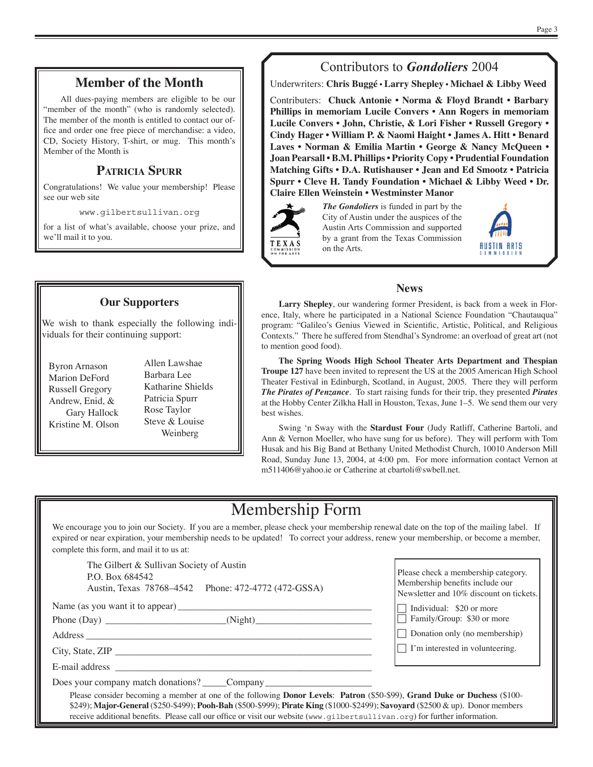### **Member of the Month**

All dues-paying members are eligible to be our "member of the month" (who is randomly selected). The member of the month is entitled to contact our office and order one free piece of merchandise: a video, CD, Society History, T-shirt, or mug. This month's Member of the Month is

# **PATRICIA SPURR**

Congratulations! We value your membership! Please see our web site

www.gilbertsullivan.org

for a list of what's available, choose your prize, and we'll mail it to you.

#### **Our Supporters**

We wish to thank especially the following individuals for their continuing support:

- Byron Arnason Marion DeFord Russell Gregory Andrew, Enid, & Gary Hallock Kristine M. Olson
- Allen Lawshae Barbara Lee Katharine Shields Patricia Spurr Rose Taylor Steve & Louise Weinberg

# Contributors to *Gondoliers* 2004

Underwriters: **Chris Buggé • Larry Shepley • Michael & Libby Weed**

Contributers: **Chuck Antonie • Norma & Floyd Brandt • Barbary Phillips in memoriam Lucile Convers • Ann Rogers in memoriam Lucile Convers • John, Christie, & Lori Fisher • Russell Gregory • Cindy Hager • William P. & Naomi Haight • James A. Hitt • Benard Laves • Norman & Emilia Martin • George & Nancy McQueen • Joan Pearsall • B.M. Phillips • Priority Copy • Prudential Foundation Matching Gifts • D.A. Rutishauser • Jean and Ed Smootz • Patricia Spurr • Cleve H. Tandy Foundation • Michael & Libby Weed • Dr. Claire Ellen Weinstein • Westminster Manor**



*The Gondoliers* is funded in part by the City of Austin under the auspices of the Austin Arts Commission and supported by a grant from the Texas Commission on the Arts.



#### **News**

**Larry Shepley**, our wandering former President, is back from a week in Florence, Italy, where he participated in a National Science Foundation "Chautauqua" program: "Galileo's Genius Viewed in Scientific, Artistic, Political, and Religious Contexts." There he suffered from Stendhal's Syndrome: an overload of great art (not to mention good food).

**The Spring Woods High School Theater Arts Department and Thespian Troupe 127** have been invited to represent the US at the 2005 American High School Theater Festival in Edinburgh, Scotland, in August, 2005. There they will perform *The Pirates of Penzance*. To start raising funds for their trip, they presented *Pirates*  at the Hobby Center Zilkha Hall in Houston, Texas, June 1–5. We send them our very best wishes.

Swing ʻn Sway with the **Stardust Four** (Judy Ratliff, Catherine Bartoli, and Ann & Vernon Moeller, who have sung for us before). They will perform with Tom Husak and his Big Band at Bethany United Methodist Church, 10010 Anderson Mill Road, Sunday June 13, 2004, at 4:00 pm. For more information contact Vernon at m511406@yahoo.ie or Catherine at cbartoli@swbell.net.

# Membership Form

We encourage you to join our Society. If you are a member, please check your membership renewal date on the top of the mailing label. If expired or near expiration, your membership needs to be updated! To correct your address, renew your membership, or become a member, complete this form, and mail it to us at:

The Gilbert & Sullivan Society of Austin P.O. Box 684542 Austin, Texas 78768–4542 Phone: 472-4772 (472-GSSA)

Name (as you want it to appear) \_\_\_\_\_\_\_\_\_\_\_\_\_\_\_\_\_\_\_\_\_\_\_\_\_\_\_\_\_\_\_\_\_\_\_\_\_\_\_\_

Phone (Day) \_\_\_\_\_\_\_\_\_\_\_\_\_\_\_\_\_\_\_\_\_\_\_\_\_(Night)\_\_\_\_\_\_\_\_\_\_\_\_\_\_\_\_\_\_\_\_\_\_\_\_

Address

City, State, ZIP \_\_\_\_\_\_\_\_\_\_\_\_\_\_\_\_\_\_\_\_\_\_\_\_\_\_\_\_\_\_\_\_\_\_\_\_\_\_\_\_\_\_\_\_\_\_\_\_\_\_\_\_\_

E-mail address \_

Does your company match donations? Company

Please check a membership category. Membership benefits include our Newsletter and 10% discount on tickets.

 $\Box$  Individual: \$20 or more

 $\Box$  Family/Group: \$30 or more

 $\Box$  Donation only (no membership)

 $\Box$  I'm interested in volunteering.

Please consider becoming a member at one of the following **Donor Levels**: **Patron** (\$50-\$99), **Grand Duke or Duchess** (\$100- \$249); **Major-General** (\$250-\$499); **Pooh-Bah** (\$500-\$999); **Pirate King** (\$1000-\$2499); **Savoyard** (\$2500 & up). Donor members receive additional benefits. Please call our office or visit our website (www.qilbertsullivan.org) for further information.